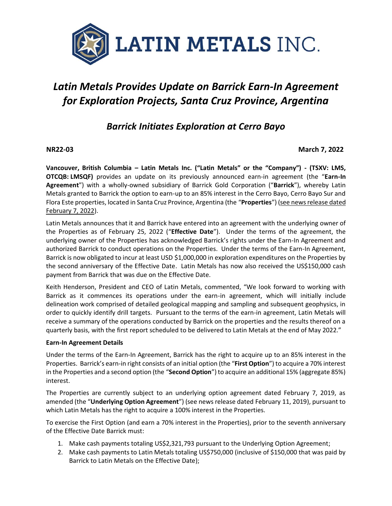

# *Latin Metals Provides Update on Barrick Earn-In Agreement for Exploration Projects, Santa Cruz Province, Argentina*

## *Barrick Initiates Exploration at Cerro Bayo*

### **NR22-03 March 7, 2022**

**Vancouver, British Columbia – Latin Metals Inc. ("Latin Metals" or the "Company") - (TSXV: LMS, OTCQB: LMSQF)** provides an update on its previously announced earn-in agreement (the "**Earn-In Agreement**") with a wholly-owned subsidiary of Barrick Gold Corporation ("**Barrick**"), whereby Latin Metals granted to Barrick the option to earn-up to an 85% interest in the Cerro Bayo, Cerro Bayo Sur and Flora Este properties, located in Santa Cruz Province, Argentina (the "**Properties**") [\(see news release dated](https://latin-metals.com/news-releases/latin-metals-and-barrick-gold-corporation-enter-into-earn-in-agreement-for-exploration-projects-santa-cruz-province-argentina/)  [February 7, 2022\)](https://latin-metals.com/news-releases/latin-metals-and-barrick-gold-corporation-enter-into-earn-in-agreement-for-exploration-projects-santa-cruz-province-argentina/).

Latin Metals announces that it and Barrick have entered into an agreement with the underlying owner of the Properties as of February 25, 2022 ("**Effective Date**"). Under the terms of the agreement, the underlying owner of the Properties has acknowledged Barrick's rights under the Earn-In Agreement and authorized Barrick to conduct operations on the Properties. Under the terms of the Earn-In Agreement, Barrick is now obligated to incur at least USD \$1,000,000 in exploration expenditures on the Properties by the second anniversary of the Effective Date. Latin Metals has now also received the US\$150,000 cash payment from Barrick that was due on the Effective Date.

Keith Henderson, President and CEO of Latin Metals, commented, "We look forward to working with Barrick as it commences its operations under the earn-in agreement, which will initially include delineation work comprised of detailed geological mapping and sampling and subsequent geophysics, in order to quickly identify drill targets. Pursuant to the terms of the earn-in agreement, Latin Metals will receive a summary of the operations conducted by Barrick on the properties and the results thereof on a quarterly basis, with the first report scheduled to be delivered to Latin Metals at the end of May 2022."

#### **Earn-In Agreement Details**

Under the terms of the Earn-In Agreement, Barrick has the right to acquire up to an 85% interest in the Properties. Barrick's earn-in right consists of an initial option (the "**First Option**") to acquire a 70% interest in the Properties and a second option (the "**Second Option**") to acquire an additional 15% (aggregate 85%) interest.

The Properties are currently subject to an underlying option agreement dated February 7, 2019, as amended (the "**Underlying Option Agreement**") (see news release dated February 11, 2019), pursuant to which Latin Metals has the right to acquire a 100% interest in the Properties.

To exercise the First Option (and earn a 70% interest in the Properties), prior to the seventh anniversary of the Effective Date Barrick must:

- 1. Make cash payments totaling US\$2,321,793 pursuant to the Underlying Option Agreement;
- 2. Make cash payments to Latin Metals totaling US\$750,000 (inclusive of \$150,000 that was paid by Barrick to Latin Metals on the Effective Date);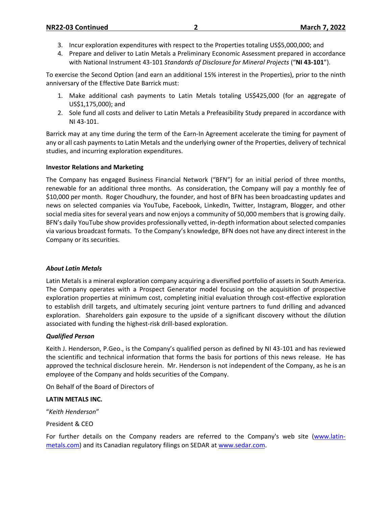- 3. Incur exploration expenditures with respect to the Properties totaling US\$5,000,000; and
- 4. Prepare and deliver to Latin Metals a Preliminary Economic Assessment prepared in accordance with National Instrument 43-101 *Standards of Disclosure for Mineral Projects* ("**NI 43-101**").

To exercise the Second Option (and earn an additional 15% interest in the Properties), prior to the ninth anniversary of the Effective Date Barrick must:

- 1. Make additional cash payments to Latin Metals totaling US\$425,000 (for an aggregate of US\$1,175,000); and
- 2. Sole fund all costs and deliver to Latin Metals a Prefeasibility Study prepared in accordance with NI 43-101.

Barrick may at any time during the term of the Earn-In Agreement accelerate the timing for payment of any or all cash payments to Latin Metals and the underlying owner of the Properties, delivery of technical studies, and incurring exploration expenditures.

#### **Investor Relations and Marketing**

The Company has engaged Business Financial Network ("BFN") for an initial period of three months, renewable for an additional three months. As consideration, the Company will pay a monthly fee of \$10,000 per month. Roger Choudhury, the founder, and host of BFN has been broadcasting updates and news on selected companies via YouTube, Facebook, LinkedIn, Twitter, Instagram, Blogger, and other social media sites for several years and now enjoys a community of 50,000 members that is growing daily. BFN's daily YouTube show provides professionally vetted, in-depth information about selected companies via various broadcast formats. To the Company's knowledge, BFN does not have any direct interest in the Company or its securities.

#### *About Latin Metals*

Latin Metals is a mineral exploration company acquiring a diversified portfolio of assets in South America. The Company operates with a Prospect Generator model focusing on the acquisition of prospective exploration properties at minimum cost, completing initial evaluation through cost-effective exploration to establish drill targets, and ultimately securing joint venture partners to fund drilling and advanced exploration. Shareholders gain exposure to the upside of a significant discovery without the dilution associated with funding the highest-risk drill-based exploration.

#### *Qualified Person*

Keith J. Henderson, P.Geo., is the Company's qualified person as defined by NI 43-101 and has reviewed the scientific and technical information that forms the basis for portions of this news release. He has approved the technical disclosure herein. Mr. Henderson is not independent of the Company, as he is an employee of the Company and holds securities of the Company.

On Behalf of the Board of Directors of

#### **LATIN METALS INC.**

"*Keith Henderson*"

President & CEO

For further details on the Company readers are referred to the Company's web site [\(www.latin](http://www.centeneramining.com/)[metals.com\)](http://www.centeneramining.com/) and its Canadian regulatory filings on SEDAR at [www.sedar.com.](http://www.sedar.com/)